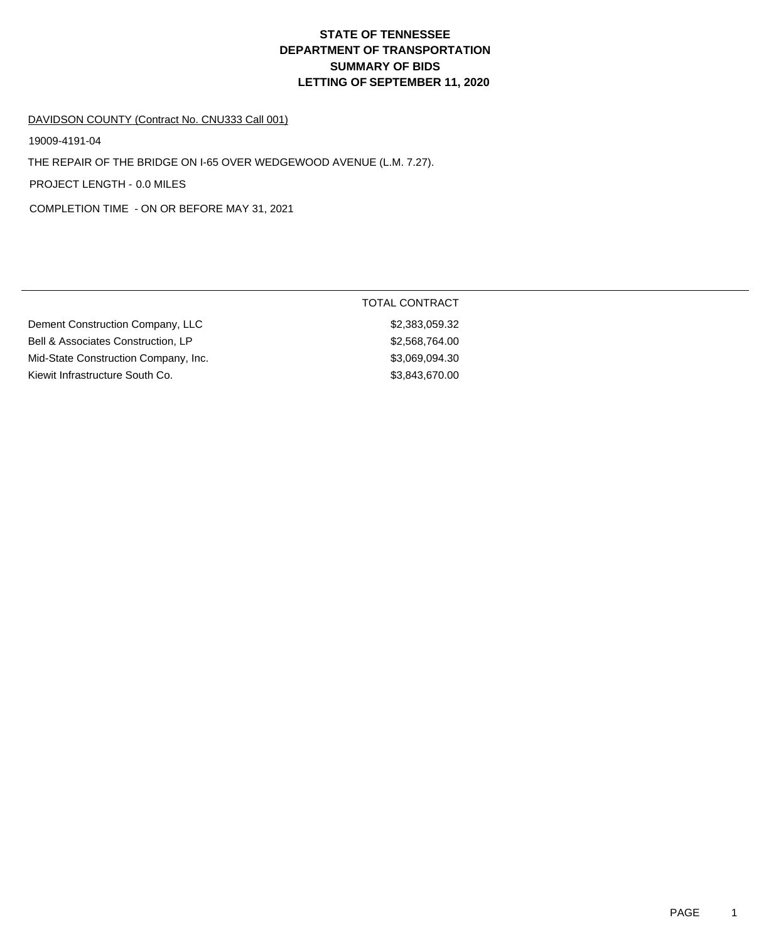# **DEPARTMENT OF TRANSPORTATION SUMMARY OF BIDS LETTING OF SEPTEMBER 11, 2020 STATE OF TENNESSEE**

#### DAVIDSON COUNTY (Contract No. CNU333 Call 001)

19009-4191-04

THE REPAIR OF THE BRIDGE ON I-65 OVER WEDGEWOOD AVENUE (L.M. 7.27).

PROJECT LENGTH - 0.0 MILES

COMPLETION TIME - ON OR BEFORE MAY 31, 2021

| Dement Construction Company, LLC     |
|--------------------------------------|
| Bell & Associates Construction, LP   |
| Mid-State Construction Company, Inc. |
| Kiewit Infrastructure South Co.      |

## TOTAL CONTRACT

 $$2,383,059.32$ \$2,568,764.00  $$3,069,094.30$  $$3,843,670.00$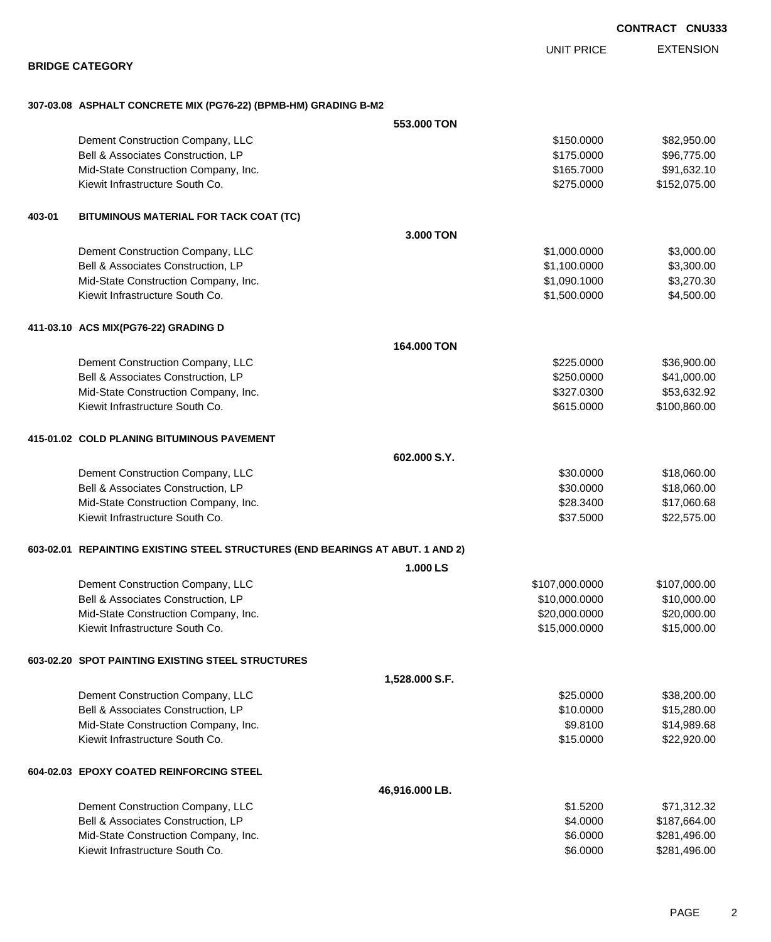**CONTRACT CNU333**

EXTENSION UNIT PRICE

#### **BRIDGE CATEGORY**

### **307-03.08 ASPHALT CONCRETE MIX (PG76-22) (BPMB-HM) GRADING B-M2**

|        |                                                                                | 553,000 TON    |                |              |
|--------|--------------------------------------------------------------------------------|----------------|----------------|--------------|
|        | Dement Construction Company, LLC                                               |                | \$150.0000     | \$82,950.00  |
|        | Bell & Associates Construction, LP                                             |                | \$175.0000     | \$96,775.00  |
|        | Mid-State Construction Company, Inc.                                           |                | \$165.7000     | \$91,632.10  |
|        | Kiewit Infrastructure South Co.                                                |                | \$275.0000     | \$152,075.00 |
| 403-01 | BITUMINOUS MATERIAL FOR TACK COAT (TC)                                         |                |                |              |
|        |                                                                                | 3.000 TON      |                |              |
|        | Dement Construction Company, LLC                                               |                | \$1,000.0000   | \$3,000.00   |
|        | Bell & Associates Construction, LP                                             |                | \$1,100.0000   | \$3,300.00   |
|        | Mid-State Construction Company, Inc.                                           |                | \$1,090.1000   | \$3,270.30   |
|        | Kiewit Infrastructure South Co.                                                |                | \$1,500.0000   | \$4,500.00   |
|        | 411-03.10 ACS MIX(PG76-22) GRADING D                                           |                |                |              |
|        |                                                                                | 164,000 TON    |                |              |
|        | Dement Construction Company, LLC                                               |                | \$225.0000     | \$36,900.00  |
|        | Bell & Associates Construction, LP                                             |                | \$250.0000     | \$41,000.00  |
|        | Mid-State Construction Company, Inc.                                           |                | \$327.0300     | \$53,632.92  |
|        | Kiewit Infrastructure South Co.                                                |                | \$615.0000     | \$100,860.00 |
|        | 415-01.02 COLD PLANING BITUMINOUS PAVEMENT                                     |                |                |              |
|        |                                                                                | 602.000 S.Y.   |                |              |
|        | Dement Construction Company, LLC                                               |                | \$30.0000      | \$18,060.00  |
|        | Bell & Associates Construction, LP                                             |                | \$30.0000      | \$18,060.00  |
|        | Mid-State Construction Company, Inc.                                           |                | \$28.3400      | \$17,060.68  |
|        | Kiewit Infrastructure South Co.                                                |                | \$37.5000      | \$22,575.00  |
|        | 603-02.01 REPAINTING EXISTING STEEL STRUCTURES (END BEARINGS AT ABUT. 1 AND 2) |                |                |              |
|        |                                                                                | 1.000 LS       |                |              |
|        | Dement Construction Company, LLC                                               |                | \$107,000.0000 | \$107,000.00 |
|        | Bell & Associates Construction, LP                                             |                | \$10,000.0000  | \$10,000.00  |
|        | Mid-State Construction Company, Inc.                                           |                | \$20,000.0000  | \$20,000.00  |
|        | Kiewit Infrastructure South Co.                                                |                | \$15,000.0000  | \$15,000.00  |
|        | 603-02.20 SPOT PAINTING EXISTING STEEL STRUCTURES                              |                |                |              |
|        | 1,528.000 S.F.                                                                 |                |                |              |
|        | Dement Construction Company, LLC                                               |                | \$25.0000      | \$38,200.00  |
|        | Bell & Associates Construction, LP                                             |                | \$10.0000      | \$15,280.00  |
|        | Mid-State Construction Company, Inc.                                           |                | \$9.8100       | \$14,989.68  |
|        | Kiewit Infrastructure South Co.                                                |                | \$15.0000      | \$22,920.00  |
|        | 604-02.03 EPOXY COATED REINFORCING STEEL                                       |                |                |              |
|        |                                                                                | 46,916.000 LB. |                |              |
|        | Dement Construction Company, LLC                                               |                | \$1.5200       | \$71,312.32  |
|        | Bell & Associates Construction, LP                                             |                | \$4.0000       | \$187,664.00 |
|        | Mid-State Construction Company, Inc.                                           |                | \$6.0000       | \$281,496.00 |
|        | Kiewit Infrastructure South Co.                                                |                | \$6.0000       | \$281,496.00 |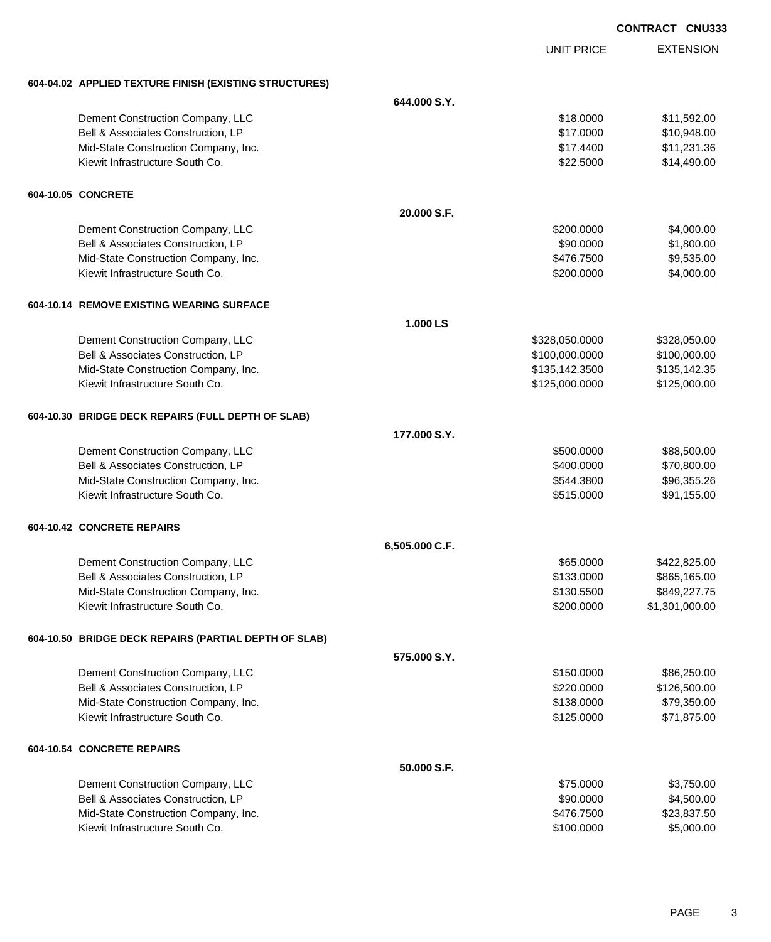|                                                        |                |                   | <b>CONTRACT CNU333</b> |
|--------------------------------------------------------|----------------|-------------------|------------------------|
|                                                        |                | <b>UNIT PRICE</b> | <b>EXTENSION</b>       |
| 604-04.02 APPLIED TEXTURE FINISH (EXISTING STRUCTURES) |                |                   |                        |
|                                                        | 644.000 S.Y.   |                   |                        |
| Dement Construction Company, LLC                       |                | \$18.0000         | \$11,592.00            |
| Bell & Associates Construction, LP                     |                | \$17.0000         | \$10,948.00            |
| Mid-State Construction Company, Inc.                   |                | \$17.4400         | \$11,231.36            |
| Kiewit Infrastructure South Co.                        |                | \$22.5000         | \$14,490.00            |
| 604-10.05 CONCRETE                                     |                |                   |                        |
|                                                        | 20.000 S.F.    |                   |                        |
| Dement Construction Company, LLC                       |                | \$200.0000        | \$4,000.00             |
| Bell & Associates Construction, LP                     |                | \$90.0000         | \$1,800.00             |
| Mid-State Construction Company, Inc.                   |                | \$476.7500        | \$9,535.00             |
| Kiewit Infrastructure South Co.                        |                | \$200.0000        | \$4,000.00             |
| 604-10.14 REMOVE EXISTING WEARING SURFACE              |                |                   |                        |
|                                                        | 1.000 LS       |                   |                        |
| Dement Construction Company, LLC                       |                | \$328,050.0000    | \$328,050.00           |
| Bell & Associates Construction, LP                     |                | \$100,000.0000    | \$100,000.00           |
| Mid-State Construction Company, Inc.                   |                | \$135,142.3500    | \$135,142.35           |
| Kiewit Infrastructure South Co.                        |                | \$125,000.0000    | \$125,000.00           |
| 604-10.30 BRIDGE DECK REPAIRS (FULL DEPTH OF SLAB)     |                |                   |                        |
|                                                        | 177.000 S.Y.   |                   |                        |
| Dement Construction Company, LLC                       |                | \$500.0000        | \$88,500.00            |
| Bell & Associates Construction, LP                     |                | \$400.0000        | \$70,800.00            |
| Mid-State Construction Company, Inc.                   |                | \$544.3800        | \$96,355.26            |
| Kiewit Infrastructure South Co.                        |                | \$515.0000        | \$91,155.00            |
| 604-10.42 CONCRETE REPAIRS                             |                |                   |                        |
|                                                        | 6,505.000 C.F. |                   |                        |
| Dement Construction Company, LLC                       |                | \$65.0000         | \$422,825.00           |
| Bell & Associates Construction, LP                     |                | \$133.0000        | \$865,165.00           |
| Mid-State Construction Company, Inc.                   |                | \$130.5500        | \$849,227.75           |
| Kiewit Infrastructure South Co.                        |                | \$200.0000        | \$1,301,000.00         |
| 604-10.50 BRIDGE DECK REPAIRS (PARTIAL DEPTH OF SLAB)  |                |                   |                        |
|                                                        | 575,000 S.Y.   |                   |                        |
| Dement Construction Company, LLC                       |                | \$150.0000        | \$86,250.00            |
| Bell & Associates Construction, LP                     |                | \$220.0000        | \$126,500.00           |
| Mid-State Construction Company, Inc.                   |                | \$138.0000        | \$79,350.00            |
| Kiewit Infrastructure South Co.                        |                | \$125.0000        | \$71,875.00            |
| 604-10.54 CONCRETE REPAIRS                             |                |                   |                        |
|                                                        | 50.000 S.F.    |                   |                        |
| Dement Construction Company, LLC                       |                | \$75.0000         | \$3,750.00             |
| Bell & Associates Construction, LP                     |                | \$90.0000         | \$4,500.00             |
| Mid-State Construction Company, Inc.                   |                | \$476.7500        | \$23,837.50            |
| Kiewit Infrastructure South Co.                        |                | \$100.0000        | \$5,000.00             |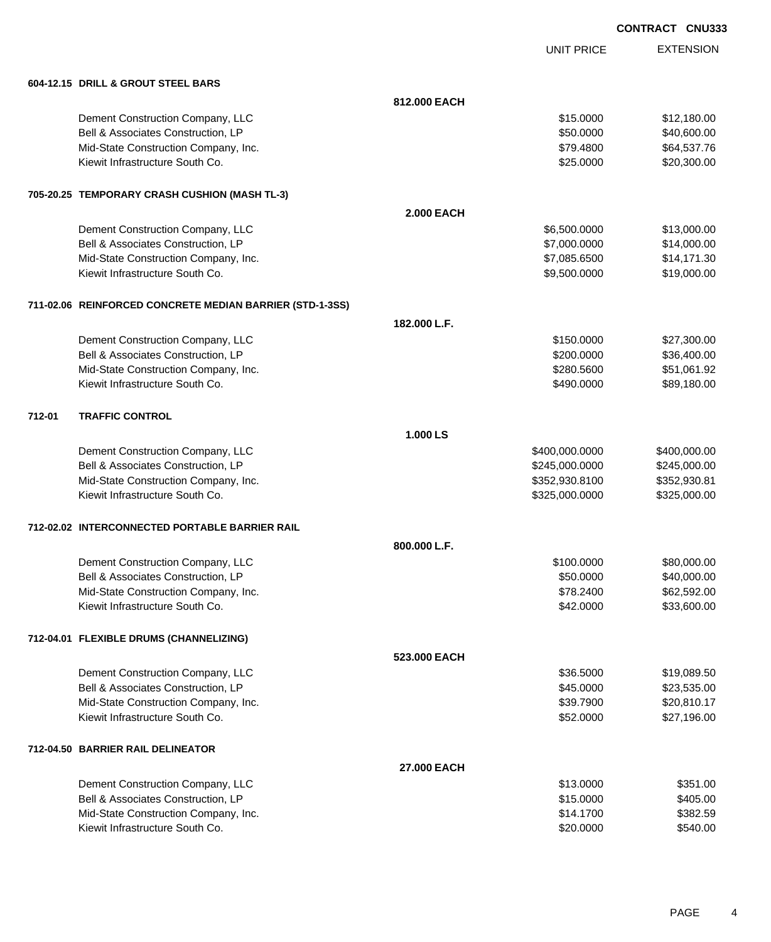| <b>CONTRACT CNU333</b> |  |
|------------------------|--|
|                        |  |

UNIT PRICE

EXTENSION

|        | 604-12.15 DRILL & GROUT STEEL BARS                       |                    |                |              |
|--------|----------------------------------------------------------|--------------------|----------------|--------------|
|        |                                                          | 812.000 EACH       |                |              |
|        | Dement Construction Company, LLC                         |                    | \$15.0000      | \$12,180.00  |
|        | Bell & Associates Construction, LP                       |                    | \$50.0000      | \$40,600.00  |
|        | Mid-State Construction Company, Inc.                     |                    | \$79.4800      | \$64,537.76  |
|        | Kiewit Infrastructure South Co.                          |                    | \$25.0000      | \$20,300.00  |
|        | 705-20.25 TEMPORARY CRASH CUSHION (MASH TL-3)            |                    |                |              |
|        |                                                          | <b>2.000 EACH</b>  |                |              |
|        | Dement Construction Company, LLC                         |                    | \$6,500.0000   | \$13,000.00  |
|        | Bell & Associates Construction, LP                       |                    | \$7,000.0000   | \$14,000.00  |
|        | Mid-State Construction Company, Inc.                     |                    | \$7,085.6500   | \$14,171.30  |
|        | Kiewit Infrastructure South Co.                          |                    | \$9,500.0000   | \$19,000.00  |
|        | 711-02.06 REINFORCED CONCRETE MEDIAN BARRIER (STD-1-3SS) |                    |                |              |
|        |                                                          | 182.000 L.F.       |                |              |
|        | Dement Construction Company, LLC                         |                    | \$150.0000     | \$27,300.00  |
|        | Bell & Associates Construction, LP                       |                    | \$200.0000     | \$36,400.00  |
|        | Mid-State Construction Company, Inc.                     |                    | \$280.5600     | \$51,061.92  |
|        | Kiewit Infrastructure South Co.                          |                    | \$490.0000     | \$89,180.00  |
| 712-01 | <b>TRAFFIC CONTROL</b>                                   |                    |                |              |
|        |                                                          | 1.000 LS           |                |              |
|        | Dement Construction Company, LLC                         |                    | \$400,000.0000 | \$400,000.00 |
|        | Bell & Associates Construction, LP                       |                    | \$245,000.0000 | \$245,000.00 |
|        | Mid-State Construction Company, Inc.                     |                    | \$352,930.8100 | \$352,930.81 |
|        | Kiewit Infrastructure South Co.                          |                    | \$325,000.0000 | \$325,000.00 |
|        | 712-02.02 INTERCONNECTED PORTABLE BARRIER RAIL           |                    |                |              |
|        |                                                          | 800.000 L.F.       |                |              |
|        | Dement Construction Company, LLC                         |                    | \$100.0000     | \$80,000.00  |
|        | Bell & Associates Construction, LP                       |                    | \$50.0000      | \$40,000.00  |
|        | Mid-State Construction Company, Inc.                     |                    | \$78.2400      | \$62,592.00  |
|        | Kiewit Infrastructure South Co.                          |                    | \$42.0000      | \$33,600.00  |
|        | 712-04.01 FLEXIBLE DRUMS (CHANNELIZING)                  |                    |                |              |
|        |                                                          | 523.000 EACH       |                |              |
|        | Dement Construction Company, LLC                         |                    | \$36.5000      | \$19,089.50  |
|        | Bell & Associates Construction, LP                       |                    | \$45.0000      | \$23,535.00  |
|        | Mid-State Construction Company, Inc.                     |                    | \$39.7900      | \$20,810.17  |
|        | Kiewit Infrastructure South Co.                          |                    | \$52.0000      | \$27,196.00  |
|        | 712-04.50 BARRIER RAIL DELINEATOR                        |                    |                |              |
|        |                                                          | <b>27.000 EACH</b> |                |              |
|        | Dement Construction Company, LLC                         |                    | \$13.0000      | \$351.00     |
|        | Bell & Associates Construction, LP                       |                    | \$15.0000      | \$405.00     |
|        | Mid-State Construction Company, Inc.                     |                    | \$14.1700      | \$382.59     |
|        | Kiewit Infrastructure South Co.                          |                    | \$20.0000      | \$540.00     |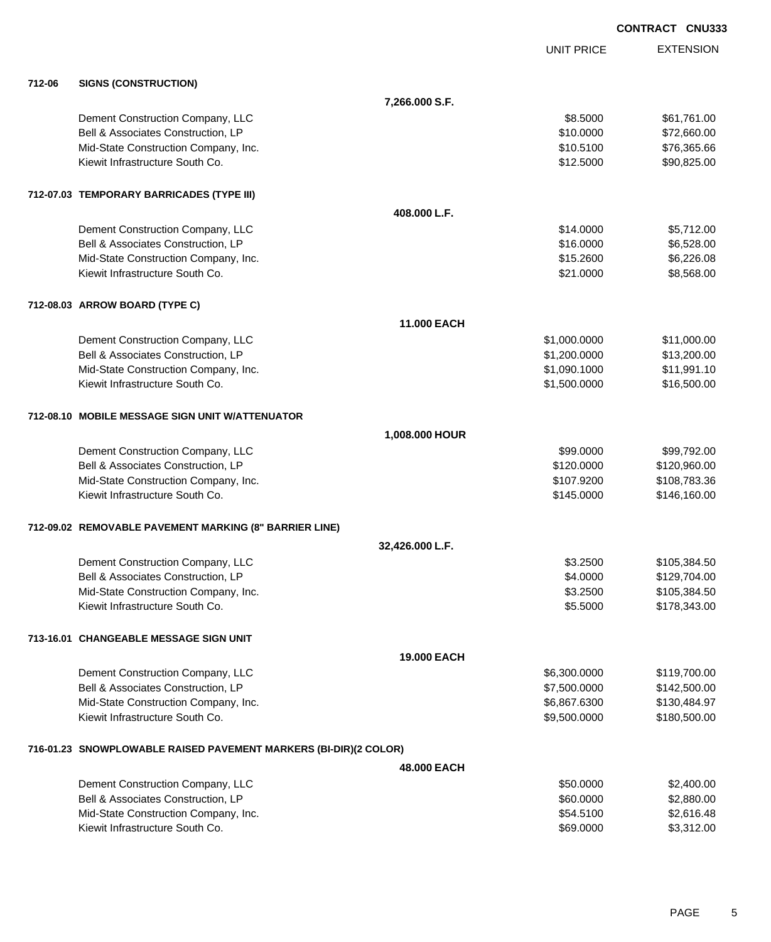EXTENSION UNIT PRICE **712-06 SIGNS (CONSTRUCTION) 7,266.000 S.F.** Dement Construction Company, LLC 661,761.00 Bell & Associates Construction, LP 660.000 \$72,660.00 Mid-State Construction Company, Inc.  $$10.5100$  \$76,365.66 Kiewit Infrastructure South Co. **\$12.5000** \$90,825.00 **712-07.03 TEMPORARY BARRICADES (TYPE III) 408.000 L.F.** Dement Construction Company, LLC 6. The construction Company, LLC 6. The construction Company, LLC Bell & Associates Construction, LP 6,528.00 Mid-State Construction Company, Inc. 6. The Construction Company, Inc. 6. The Construction Company, Inc. 6. The Construction Company, Inc. 6. The Construction Company, Inc. 6. The Construction Company, Inc. 6. The Construc Kiewit Infrastructure South Co. **\$21.0000** \$8,568.00 **712-08.03 ARROW BOARD (TYPE C) 11.000 EACH** Dement Construction Company, LLC **1.1.000.000** \$1,000.0000 \$11,000.000 Bell & Associates Construction, LP 613,200.000 \$13,200.000 \$13,200.000 Mid-State Construction Company, Inc.  $$11,991.10$ Kiewit Infrastructure South Co. **\$1,500.000 \$1,500.000 \$16,500.00 712-08.10 MOBILE MESSAGE SIGN UNIT W/ATTENUATOR 1,008.000 HOUR** Dement Construction Company, LLC **but a set of the set of the set of the set of the set of the set of the set of the set of the set of the set of the set of the set of the set of the set of the set of the set of the set of** Bell & Associates Construction, LP 6. 2008 6.000 \$120,960.00 Mid-State Construction Company, Inc. 6. The Construction Company, Inc. \$107.9200 \$108.783.36 Kiewit Infrastructure South Co. **6. 146.160.00** \$146.160.00 \$146.160.00 **712-09.02 REMOVABLE PAVEMENT MARKING (8" BARRIER LINE) 32,426.000 L.F.** Dement Construction Company, LLC 6 and the state of the state of the state of the state  $$3.2500$  \$105,384.50 Bell & Associates Construction, LP 6.000 \$129,704.00 Mid-State Construction Company, Inc. 6. 2008 105,384.50 Kiewit Infrastructure South Co. \$5.5000 \$178,343.00 **713-16.01 CHANGEABLE MESSAGE SIGN UNIT 19.000 EACH** Dement Construction Company, LLC 6.6300.000 \$119,700.00 Bell & Associates Construction, LP 600000 \$142,500.000 \$142,500.000 Mid-State Construction Company, Inc. 6.687.6300 \$130,484.97 Kiewit Infrastructure South Co. **\$9,500.000 \$180,500.000** \$180,500.000 **716-01.23 SNOWPLOWABLE RAISED PAVEMENT MARKERS (BI-DIR)(2 COLOR) 48.000 EACH** Dement Construction Company, LLC 6 and the state of the state of the state of the state of the state of the state of the state of the state of the state of the state of the state of the state of the state of the state of t Bell & Associates Construction, LP 60.0000 \$2,880.00

Mid-State Construction Company, Inc. 6. The Construction Company, Inc. 6. The Construction Company, Inc. 6. The Construction Company, Inc. 6. The Construction Company, Inc. 6. The Construction Company, Inc. 6. The Construc Kiewit Infrastructure South Co. **69.0000** \$3,312.00

**CONTRACT CNU333**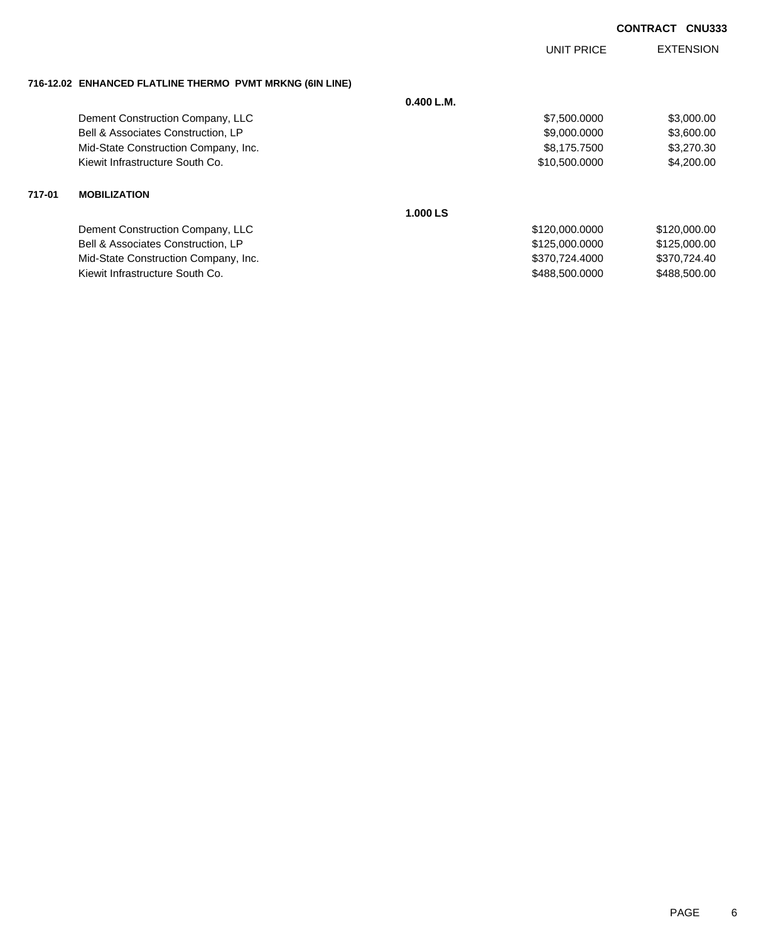## **CONTRACT CNU333**

|                                                          |            | UNIT PRICE     | <b>EXTENSION</b> |
|----------------------------------------------------------|------------|----------------|------------------|
| 716-12.02 ENHANCED FLATLINE THERMO PVMT MRKNG (6IN LINE) |            |                |                  |
|                                                          | 0.400 L.M. |                |                  |
| Dement Construction Company, LLC                         |            | \$7,500.0000   | \$3,000.00       |
| Bell & Associates Construction, LP                       |            | \$9,000.0000   | \$3,600.00       |
| Mid-State Construction Company, Inc.                     |            | \$8,175.7500   | \$3,270.30       |
| Kiewit Infrastructure South Co.                          |            | \$10,500.0000  | \$4,200.00       |
| 717-01<br><b>MOBILIZATION</b>                            |            |                |                  |
|                                                          | 1.000 LS   |                |                  |
| Dement Construction Company, LLC                         |            | \$120,000.0000 | \$120,000.00     |
| Bell & Associates Construction, LP                       |            | \$125,000.0000 | \$125,000.00     |
| Mid-State Construction Company, Inc.                     |            | \$370,724.4000 | \$370,724.40     |
| Kiewit Infrastructure South Co.                          |            | \$488,500,0000 | \$488,500,00     |